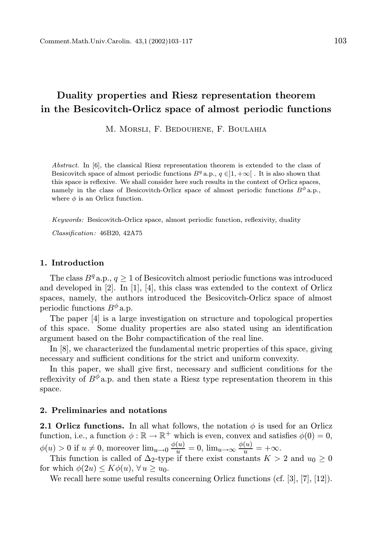# Duality properties and Riesz representation theorem in the Besicovitch-Orlicz space of almost periodic functions

M. Morsli, F. Bedouhene, F. Boulahia

Abstract. In [6], the classical Riesz representation theorem is extended to the class of Besicovitch space of almost periodic functions  $B<sup>q</sup>$  a.p.,  $q \in ]1, +\infty[$ . It is also shown that this space is reflexive. We shall consider here such results in the context of Orlicz spaces, namely in the class of Besicovitch-Orlicz space of almost periodic functions  $B^{\phi}$  a.p., where  $\phi$  is an Orlicz function.

Keywords: Besicovitch-Orlicz space, almost periodic function, reflexivity, duality

Classification: 46B20, 42A75

#### 1. Introduction

The class  $B<sup>q</sup>$  a.p.,  $q \ge 1$  of Besicovitch almost periodic functions was introduced and developed in [2]. In [1], [4], this class was extended to the context of Orlicz spaces, namely, the authors introduced the Besicovitch-Orlicz space of almost periodic functions  $B^{\phi}$  a.p.

The paper [4] is a large investigation on structure and topological properties of this space. Some duality properties are also stated using an identification argument based on the Bohr compactification of the real line.

In [8], we characterized the fundamental metric properties of this space, giving necessary and sufficient conditions for the strict and uniform convexity.

In this paper, we shall give first, necessary and sufficient conditions for the reflexivity of  $B^{\phi}$  a.p. and then state a Riesz type representation theorem in this space.

#### 2. Preliminaries and notations

**2.1 Orlicz functions.** In all what follows, the notation  $\phi$  is used for an Orlicz function, i.e., a function  $\phi : \mathbb{R} \to \mathbb{R}^+$  which is even, convex and satisfies  $\phi(0) = 0$ ,  $\phi(u) > 0$  if  $u \neq 0$ , moreover  $\lim_{u \to 0} \frac{\phi(u)}{u} = 0$ ,  $\lim_{u \to \infty} \frac{\phi(u)}{u} = +\infty$ .

This function is called of  $\Delta_2$ -type if there exist constants  $K > 2$  and  $u_0 \geq 0$ for which  $\phi(2u) \leq K\phi(u)$ ,  $\forall u \geq u_0$ .

We recall here some useful results concerning Orlicz functions (cf. [3], [7], [12]).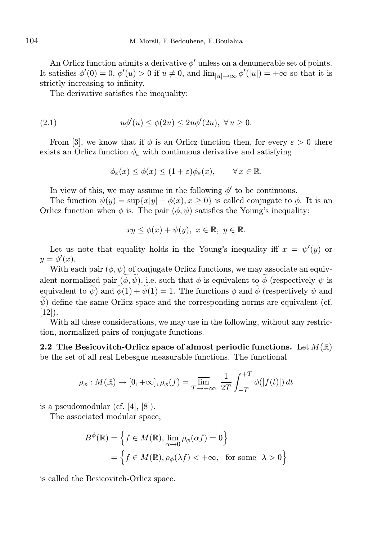An Orlicz function admits a derivative  $\phi'$  unless on a denumerable set of points. It satisfies  $\phi'(0) = 0$ ,  $\phi'(u) > 0$  if  $u \neq 0$ , and  $\lim_{|u| \to \infty} \phi'(u|) = +\infty$  so that it is strictly increasing to infinity.

The derivative satisfies the inequality:

$$
(2.1) \t u\phi'(u) \le \phi(2u) \le 2u\phi'(2u), \ \forall u \ge 0.
$$

From [3], we know that if  $\phi$  is an Orlicz function then, for every  $\varepsilon > 0$  there exists an Orlicz function  $\phi_{\varepsilon}$  with continuous derivative and satisfying

$$
\phi_{\varepsilon}(x) \le \phi(x) \le (1+\varepsilon)\phi_{\varepsilon}(x), \qquad \forall x \in \mathbb{R}.
$$

In view of this, we may assume in the following  $\phi'$  to be continuous.

The function  $\psi(y) = \sup\{x|y| - \phi(x), x \ge 0\}$  is called conjugate to  $\phi$ . It is an Orlicz function when  $\phi$  is. The pair  $(\phi, \psi)$  satisfies the Young's inequality:

$$
xy \le \phi(x) + \psi(y), \ x \in \mathbb{R}, \ y \in \mathbb{R}.
$$

Let us note that equality holds in the Young's inequality iff  $x = \psi'(y)$  or  $y = \phi'(x)$ .

With each pair  $(\phi, \psi)$  of conjugate Orlicz functions, we may associate an equivalent normalized pair  $(\tilde{\phi}, \tilde{\psi})$ , i.e. such that  $\phi$  is equivalent to  $\tilde{\phi}$  (respectively  $\psi$  is equivalent to  $\tilde{\psi}$ ) and  $\tilde{\phi}(1) + \tilde{\psi}(1) = 1$ . The functions  $\phi$  and  $\tilde{\phi}$  (respectively  $\psi$  and  $\widetilde{\psi}$ ) define the same Orlicz space and the corresponding norms are equivalent (cf.  $[12]$ ).

With all these considerations, we may use in the following, without any restriction, normalized pairs of conjugate functions.

2.2 The Besicovitch-Orlicz space of almost periodic functions. Let  $M(\mathbb{R})$ be the set of all real Lebesgue measurable functions. The functional

$$
\rho_{\phi}: M(\mathbb{R}) \to [0, +\infty], \rho_{\phi}(f) = \overline{\lim}_{T \to +\infty} \frac{1}{2T} \int_{-T}^{+T} \phi(|f(t)|) dt
$$

is a pseudomodular (cf. [4], [8]).

The associated modular space,

$$
B^{\phi}(\mathbb{R}) = \left\{ f \in M(\mathbb{R}), \lim_{\alpha \to 0} \rho_{\phi}(\alpha f) = 0 \right\}
$$

$$
= \left\{ f \in M(\mathbb{R}), \rho_{\phi}(\lambda f) < +\infty, \text{ for some } \lambda > 0 \right\}
$$

is called the Besicovitch-Orlicz space.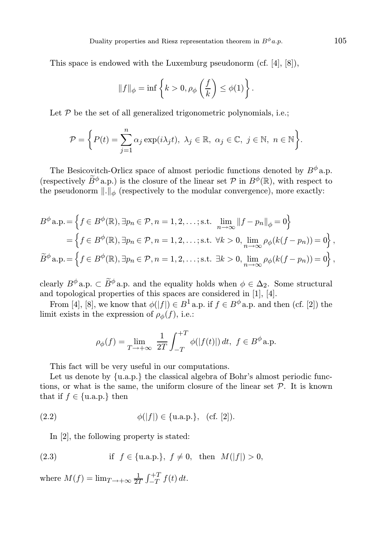This space is endowed with the Luxemburg pseudonorm (cf. [4], [8]),

$$
||f||_{\phi} = \inf \left\{ k > 0, \rho_{\phi}\left(\frac{f}{k}\right) \leq \phi(1) \right\}.
$$

Let  $P$  be the set of all generalized trigonometric polynomials, i.e.;

$$
\mathcal{P} = \bigg\{ P(t) = \sum_{j=1}^{n} \alpha_j \exp(i\lambda_j t), \ \lambda_j \in \mathbb{R}, \ \alpha_j \in \mathbb{C}, \ j \in \mathbb{N}, \ n \in \mathbb{N} \bigg\}.
$$

The Besicovitch-Orlicz space of almost periodic functions denoted by  $B^{\phi}$  a.p. (respectively  $\widetilde{B}^{\phi}$  a.p.) is the closure of the linear set P in  $B^{\phi}(\mathbb{R})$ , with respect to the pseudonorm  $\|\cdot\|_{\phi}$  (respectively to the modular convergence), more exactly:

$$
B^{\phi} \mathbf{a}.\mathbf{p} = \left\{ f \in B^{\phi}(\mathbb{R}), \exists p_n \in \mathcal{P}, n = 1, 2, \dots; \text{s.t. } \lim_{n \to \infty} ||f - p_n||_{\phi} = 0 \right\}
$$
  
= 
$$
\left\{ f \in B^{\phi}(\mathbb{R}), \exists p_n \in \mathcal{P}, n = 1, 2, \dots; \text{s.t. } \forall k > 0, \lim_{n \to \infty} \rho_{\phi}(k(f - p_n)) = 0 \right\},\
$$
  

$$
\widetilde{B}^{\phi} \mathbf{a}.\mathbf{p} = \left\{ f \in B^{\phi}(\mathbb{R}), \exists p_n \in \mathcal{P}, n = 1, 2, \dots; \text{s.t. } \exists k > 0, \lim_{n \to \infty} \rho_{\phi}(k(f - p_n)) = 0 \right\},\
$$

clearly  $B^{\phi}$  a.p.  $\subset \widetilde{B}^{\phi}$  a.p. and the equality holds when  $\phi \in \Delta_2$ . Some structural and topological properties of this spaces are considered in [1], [4].

From [4], [8], we know that  $\phi(|f|) \in B^1$  a.p. if  $f \in B^{\phi}$  a.p. and then (cf. [2]) the limit exists in the expression of  $\rho_{\phi}(f)$ , i.e.:

$$
\rho_{\phi}(f) = \lim_{T \to +\infty} \frac{1}{2T} \int_{-T}^{+T} \phi(|f(t)|) dt, \ f \in B^{\phi} \text{a.p.}
$$

This fact will be very useful in our computations.

Let us denote by  ${u.a.p.}$  the classical algebra of Bohr's almost periodic functions, or what is the same, the uniform closure of the linear set  $P$ . It is known that if  $f \in \{u.a.p.\}$  then

(2.2) 
$$
\phi(|f|) \in \{\text{u.a.p.}\}, \text{ (cf. [2]).}
$$

In [2], the following property is stated:

(2.3) if 
$$
f \in \{u.a.p.\}, f \neq 0
$$
, then  $M(|f|) > 0$ ,

where  $M(f) = \lim_{T \to +\infty} \frac{1}{2T} \int_{-T}^{+T} f(t) dt$ .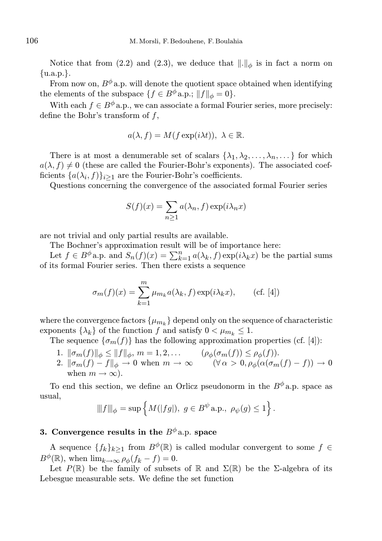Notice that from (2.2) and (2.3), we deduce that  $\|.\|_{\phi}$  is in fact a norm on {u.a.p.}.

From now on,  $B^{\phi}$  a.p. will denote the quotient space obtained when identifying the elements of the subspace  $\{f \in B^{\phi} \text{a.p.}; \|f\|_{\phi} = 0\}.$ 

With each  $f \in B^{\phi}$  a.p., we can associate a formal Fourier series, more precisely: define the Bohr's transform of  $f$ ,

$$
a(\lambda, f) = M(f \exp(i\lambda t)), \ \lambda \in \mathbb{R}.
$$

There is at most a denumerable set of scalars  $\{\lambda_1, \lambda_2, \ldots, \lambda_n, \ldots\}$  for which  $a(\lambda, f) \neq 0$  (these are called the Fourier-Bohr's exponents). The associated coefficients  $\{a(\lambda_i, f)\}_{i \geq 1}$  are the Fourier-Bohr's coefficients.

Questions concerning the convergence of the associated formal Fourier series

$$
S(f)(x) = \sum_{n\geq 1} a(\lambda_n, f) \exp(i\lambda_n x)
$$

are not trivial and only partial results are available.

The Bochner's approximation result will be of importance here:

Let  $f \in B^{\phi}$  a.p. and  $S_n(f)(x) = \sum_{k=1}^n a(\lambda_k, f) \exp(i\lambda_k x)$  be the partial sums of its formal Fourier series. Then there exists a sequence

$$
\sigma_m(f)(x) = \sum_{k=1}^m \mu_{m_k} a(\lambda_k, f) \exp(i\lambda_k x), \qquad \text{(cf. [4])}
$$

where the convergence factors  $\{\mu_{m_k}\}$  depend only on the sequence of characteristic exponents  $\{\lambda_k\}$  of the function f and satisfy  $0 < \mu_{m_k} \leq 1$ .

The sequence  $\{\sigma_m(f)\}\$  has the following approximation properties (cf. [4]):

- 1.  $\|\sigma_m(f)\|_{\phi} \le \|f\|_{\phi}, m = 1, 2, \dots$   $(\rho_{\phi}(\sigma_m(f)) \le \rho_{\phi}(f)).$
- 2.  $\|\sigma_m(f) f\|_{\phi} \to 0$  when  $m \to \infty$  ( $\forall \alpha > 0, \rho_{\phi}(\alpha(\sigma_m(f) f)) \to 0$ when  $m \to \infty$ ).

To end this section, we define an Orlicz pseudonorm in the  $B^{\phi}$  a.p. space as usual,

$$
\|f\|_{\phi} = \sup \left\{ M(|fg|), \ g \in B^{\psi} \text{a.p., } \rho_{\psi}(g) \le 1 \right\}.
$$

# 3. Convergence results in the  $B^{\phi}$  a.p. space

A sequence  ${f_k}_{k>1}$  from  $B^{\phi}(\mathbb{R})$  is called modular convergent to some  $f \in$  $B^{\phi}(\mathbb{R})$ , when  $\lim_{k\to\infty}\rho_{\phi}(f_k-f)=0$ .

Let  $P(\mathbb{R})$  be the family of subsets of  $\mathbb R$  and  $\Sigma(\mathbb{R})$  be the *Σ*-algebra of its Lebesgue measurable sets. We define the set function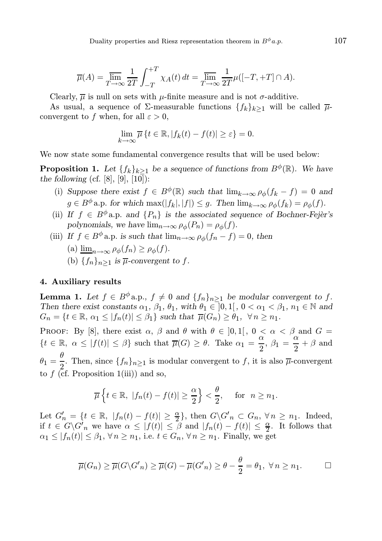$$
\overline{\mu}(A) = \overline{\lim}_{T \to \infty} \frac{1}{2T} \int_{-T}^{+T} \chi_A(t) dt = \overline{\lim}_{T \to \infty} \frac{1}{2T} \mu([-T, +T] \cap A).
$$

Clearly,  $\overline{\mu}$  is null on sets with  $\mu$ -finite measure and is not  $\sigma$ -additive.

As usual, a sequence of  $\Sigma$ -measurable functions  $\{f_k\}_{k>1}$  will be called  $\overline{\mu}$ convergent to f when, for all  $\varepsilon > 0$ ,

$$
\lim_{k \to \infty} \overline{\mu} \left\{ t \in \mathbb{R}, |f_k(t) - f(t)| \ge \varepsilon \right\} = 0.
$$

We now state some fundamental convergence results that will be used below:

**Proposition 1.** Let  $\{f_k\}_{k>1}$  be a sequence of functions from  $B^{\phi}(\mathbb{R})$ . We have the following (cf.  $[8]$ ,  $[9]$ ,  $[10]$ ):

- (i) Suppose there exist  $f \in B^{\phi}(\mathbb{R})$  such that  $\lim_{k \to \infty} \rho_{\phi}(f_k f) = 0$  and  $g \in B^{\phi}$  a.p. for which  $\max(|f_k|, |f|) \leq g$ . Then  $\lim_{k \to \infty} \rho_{\phi}(f_k) = \rho_{\phi}(f)$ .
- (ii) If  $f \in B^{\phi}$  a.p. and  $\{P_n\}$  is the associated sequence of Bochner-Fejèr's polynomials, we have  $\lim_{n\to\infty} \rho_{\phi}(P_n) = \rho_{\phi}(f)$ .
- (iii) If  $f \in B^{\phi}$  a.p. is such that  $\lim_{n\to\infty} \rho_{\phi}(f_n f) = 0$ , then
	- (a)  $\lim_{n\to\infty} \rho_{\phi}(f_n) \geq \rho_{\phi}(f)$ .
	- (b)  $\{f_n\}_{n\geq 1}$  is  $\overline{\mu}$ -convergent to f.

### 4. Auxiliary results

**Lemma 1.** Let  $f \in B^{\phi}$  a.p.,  $f \neq 0$  and  $\{f_n\}_{n>1}$  be modular convergent to f. Then there exist constants  $\alpha_1$ ,  $\beta_1$ ,  $\theta_1$ , with  $\theta_1 \in [0,1]$ ,  $0 < \alpha_1 < \beta_1$ ,  $n_1 \in \mathbb{N}$  and  $G_n = \{t \in \mathbb{R}, \alpha_1 \leq |f_n(t)| \leq \beta_1\}$  such that  $\overline{\mu}(G_n) \geq \theta_1, \forall n \geq n_1$ .

PROOF: By [8], there exist  $\alpha$ ,  $\beta$  and  $\theta$  with  $\theta \in ]0,1[$ ,  $0 < \alpha < \beta$  and  $G =$  ${t \in \mathbb{R}, \ \alpha \le |f(t)| \le \beta}$  such that  $\overline{\mu}(G) \ge \theta$ . Take  $\alpha_1 = \frac{\alpha}{2}$  $\frac{\alpha}{2}$ ,  $\beta_1 = \frac{\alpha}{2}$  $\frac{\alpha}{2} + \beta$  and  $\theta_1 = \frac{\theta}{2}$  $\frac{1}{2}$ . Then, since  $\{f_n\}_{n\geq 1}$  is modular convergent to f, it is also  $\overline{\mu}$ -convergent to  $f$  (cf. Proposition 1(iii)) and so,

$$
\overline{\mu}\left\{t\in\mathbb{R},\ |f_n(t)-f(t)|\geq \frac{\alpha}{2}\right\}<\frac{\theta}{2}, \quad \text{for } n\geq n_1.
$$

Let  $G'_n = \{t \in \mathbb{R}, |f_n(t) - f(t)| \ge \frac{\alpha}{2}\}\$ , then  $G \backslash G'_n \subset G_n$ ,  $\forall n \ge n_1$ . Indeed, if  $t \in G \backslash G'_n$  we have  $\alpha \leq |f(t)| \leq \beta$  and  $|f_n(t) - f(t)| \leq \frac{\alpha}{2}$ . It follows that  $\alpha_1 \leq |f_n(t)| \leq \beta_1$ ,  $\forall n \geq n_1$ , i.e.  $t \in G_n$ ,  $\forall n \geq n_1$ . Finally, we get

$$
\overline{\mu}(G_n) \ge \overline{\mu}(G \setminus G'_n) \ge \overline{\mu}(G) - \overline{\mu}(G'_n) \ge \theta - \frac{\theta}{2} = \theta_1, \ \forall n \ge n_1.
$$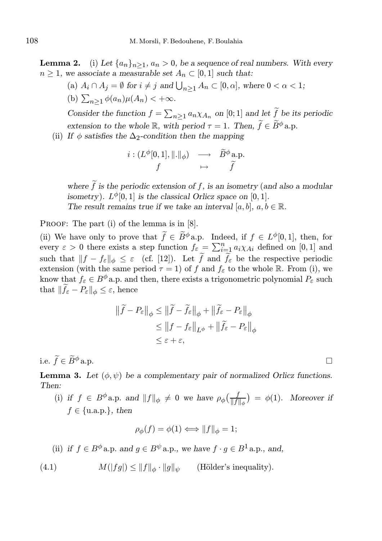**Lemma 2.** (i) Let  $\{a_n\}_{n>1}$ ,  $a_n > 0$ , be a sequence of real numbers. With every  $n \geq 1$ , we associate a measurable set  $A_n \subset [0,1]$  such that:

(a)  $A_i \cap A_j = \emptyset$  for  $i \neq j$  and  $\bigcup_{n \geq 1} A_n \subset [0, \alpha]$ , where  $0 < \alpha < 1$ ; (b)  $\sum_{n\geq 1} \phi(a_n)\mu(A_n) < +\infty$ .

Consider the function  $f = \sum_{n\geq 1} a_n \chi_{A_n}$  on [0; 1] and let  $\tilde{f}$  be its periodic extension to the whole R, with period  $\tau = 1$ . Then,  $\widetilde{f} \in \widetilde{B}^{\phi}$  a.p.

(ii) If  $\phi$  satisfies the  $\Delta_2$ -condition then the mapping

$$
\begin{array}{ccc}\ni:(L^{\phi}[0,1],\|.\|_{\phi})&\longrightarrow&\widetilde{B}^{\phi}~\text{a.p.}\\f&\mapsto&\widetilde{f}\end{array}
$$

where  $\tilde{f}$  is the periodic extension of f, is an isometry (and also a modular isometry).  $L^{\phi}[0,1]$  is the classical Orlicz space on  $[0,1]$ . The result remains true if we take an interval [a, b],  $a, b \in \mathbb{R}$ .

PROOF: The part (i) of the lemma is in [8].

(ii) We have only to prove that  $\widetilde{f} \in \widetilde{B}^{\phi}$  a.p. Indeed, if  $f \in L^{\phi}[0,1]$ , then, for every  $\varepsilon > 0$  there exists a step function  $f_{\varepsilon} = \sum_{i=1}^{n} a_i \chi_{Ai}$  defined on [0, 1] and such that  $||f - f_{\varepsilon}||_{\phi} \leq \varepsilon$  (cf. [12]). Let  $\tilde{f}$  and  $\tilde{f}_{\varepsilon}$  be the respective periodic extension (with the same period  $\tau = 1$ ) of f and  $f_{\varepsilon}$  to the whole R. From (i), we know that  $f_{\varepsilon} \in B^{\phi}$  a.p. and then, there exists a trigonometric polynomial  $P_{\varepsilon}$  such that  $\|\widetilde{f}_{\varepsilon} - P_{\varepsilon}\|_{\phi} \leq \varepsilon$ , hence

$$
\|\widetilde{f} - P_{\varepsilon}\|_{\phi} \le \|\widetilde{f} - \widetilde{f}_{\varepsilon}\|_{\phi} + \|\widetilde{f}_{\varepsilon} - P_{\varepsilon}\|_{\phi}
$$
  
\n
$$
\le \|f - f_{\varepsilon}\|_{L^{\phi}} + \|\widetilde{f}_{\varepsilon} - P_{\varepsilon}\|_{\phi}
$$
  
\n
$$
\le \varepsilon + \varepsilon,
$$

i.e.  $\widetilde{f} \in \widetilde{B}^{\phi}$  a.p.

**Lemma 3.** Let  $(\phi, \psi)$  be a complementary pair of normalized Orlicz functions. Then:

(i) if  $f \in B^{\phi}$  a.p. and  $||f||_{\phi} \neq 0$  we have  $\rho_{\phi}(\frac{f}{||f||_{\phi}}) = \phi(1)$ . Moreover if  $f \in \{u.a.p.\}$ , then

$$
\rho_{\phi}(f) = \phi(1) \Longleftrightarrow ||f||_{\phi} = 1;
$$

(ii) if 
$$
f \in B^{\phi}
$$
 a.p. and  $g \in B^{\psi}$  a.p., we have  $f \cdot g \in B^1$  a.p., and,

(4.1) 
$$
M(|fg|) \leq ||f||_{\phi} \cdot ||g||_{\psi} \quad \text{(Hölder's inequality)}.
$$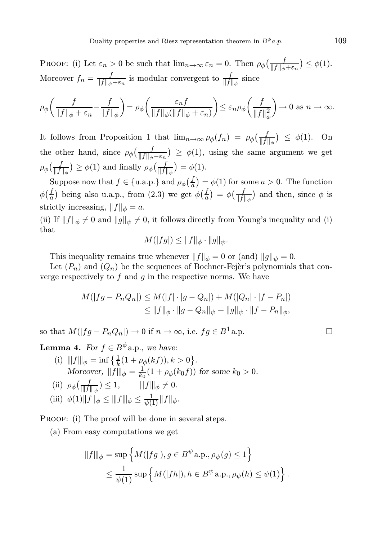PROOF: (i) Let  $\varepsilon_n > 0$  be such that  $\lim_{n \to \infty} \varepsilon_n = 0$ . Then  $\rho_\phi \left( \frac{f}{\|f\|_\phi + \varepsilon_n} \right) \leq \phi(1)$ . Moreover  $f_n = \frac{f}{\|f\|_+}$  $\frac{f}{\|f\|_{\phi} + \varepsilon_n}$  is modular convergent to  $\frac{f}{\|f\|_{\phi}}$  since

$$
\rho_{\phi}\bigg(\frac{f}{\|f\|_{\phi}+\varepsilon_n}-\frac{f}{\|f\|_{\phi}}\bigg)=\rho_{\phi}\bigg(\frac{\varepsilon_nf}{\|f\|_{\phi}(\|f\|_{\phi}+\varepsilon_n)}\bigg)\leq\varepsilon_n\rho_{\phi}\bigg(\frac{f}{\|f\|_{\phi}^2}\bigg)\to 0\,\,\text{as}\,\,n\to\infty.
$$

It follows from Proposition 1 that  $\lim_{n\to\infty} \rho_{\phi}(f_n) = \rho_{\phi}(\frac{f_n}{\|f\|})$  $\frac{f}{\|f\|_{\phi}}$  >  $\leq \phi(1)$ . On the other hand, since  $\rho_{\phi}\left(\frac{f}{\|f\|_{\phi}-\varepsilon_n}\right) \geq \phi(1)$ , using the same argument we get  $\rho_\phi(\frac{f}{\|f\|}$  $\frac{f}{\|f\|_{\phi}}$   $\geq \phi(1)$  and finally  $\rho_{\phi}(\frac{f}{\|f\|})$  $\frac{f}{\|f\|_\phi}$  =  $\phi(1)$ .

Suppose now that  $f \in \{\text{u.a.p.}\}\$ and  $\rho_{\phi}\left(\frac{f}{a}\right)$  $\frac{f}{a}$ ) =  $\phi(1)$  for some  $a > 0$ . The function  $\phi\left(\frac{f}{a}\right)$  being also u.a.p., from (2.3) we get  $\phi\left(\frac{f}{a}\right) = \phi\left(\frac{f}{\|f\|_{\phi}}\right)$  and then, since  $\phi$  is strictly increasing,  $||f||_{\phi} = a$ .

(ii) If  $||f||_{\phi} \neq 0$  and  $||g||_{\psi} \neq 0$ , it follows directly from Young's inequality and (i) that

$$
M(|fg|) \leq ||f||_{\phi} \cdot ||g||_{\psi}.
$$

This inequality remains true whenever  $||f||_{\phi} = 0$  or (and)  $||g||_{\psi} = 0$ .

Let  $(P_n)$  and  $(Q_n)$  be the sequences of Bochner-Fejer's polynomials that converge respectively to  $f$  and  $g$  in the respective norms. We have

$$
M(|fg - P_n Q_n|) \le M(|f| \cdot |g - Q_n|) + M(|Q_n| \cdot |f - P_n|)
$$
  
\n
$$
\le ||f||_{\phi} \cdot ||g - Q_n||_{\psi} + ||g||_{\psi} \cdot ||f - P_n||_{\phi},
$$

so that  $M(|fq - P_nQ_n|) \to 0$  if  $n \to \infty$ , i.e.  $fq \in B^1$  a.p.

**Lemma 4.** For  $f \in B^{\phi}$  a.p., we have:

(i)  $|||f|||_{\phi} = \inf \left\{ \frac{1}{k} (1 + \rho_{\phi}(kf)), k > 0 \right\}.$ Moreover,  $|||f|||_{\phi} = \frac{1}{k_0} (1 + \rho_{\phi}(k_0 f))$  for some  $k_0 > 0$ .

(ii) 
$$
\rho_{\phi}(\frac{f}{\|f\|_{\phi}}) \leq 1
$$
,  $\|f\|_{\phi} \neq 0$ .  
(iii)  $\phi(1)\|f\|_{\phi} \leq \|f\|_{\phi} \leq \frac{1}{\psi(1)}\|f\|_{\phi}$ .

PROOF: (i) The proof will be done in several steps.

(a) From easy computations we get

$$
\begin{aligned} \|\|f\|_{\phi}&=\sup\left\{M(|fg|),g\in B^{\psi}\text{a.p.,}\rho_{\psi}(g)\leq 1\right\} \\ &\leq \frac{1}{\psi(1)}\sup\left\{M(|fh|),h\in B^{\psi}\text{a.p.,}\rho_{\psi}(h)\leq \psi(1)\right\}. \end{aligned}
$$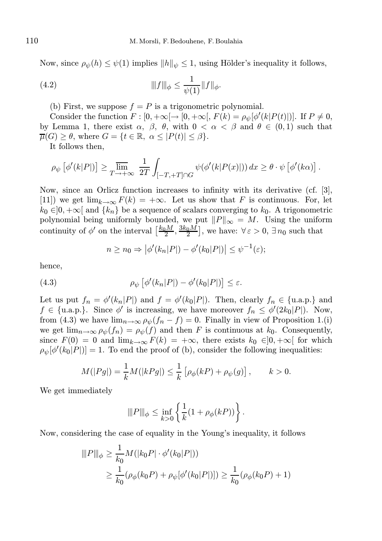Now, since  $\rho_{\psi}(h) \leq \psi(1)$  implies  $||h||_{\psi} \leq 1$ , using Hölder's inequality it follows,

(4.2) 
$$
\|f\|_{\phi} \leq \frac{1}{\psi(1)} \|f\|_{\phi}.
$$

(b) First, we suppose  $f = P$  is a trigonometric polynomial.

Consider the function  $F: [0, +\infty[ \to [0, +\infty[ , F(k) = \rho_{\psi}[\phi'(k|P(t)])]$ . If  $P \neq 0$ , by Lemma 1, there exist  $\alpha$ ,  $\beta$ ,  $\theta$ , with  $0 < \alpha < \beta$  and  $\theta \in (0,1)$  such that  $\overline{\mu}(G) \geq \theta$ , where  $G = \{t \in \mathbb{R}, \alpha \leq |P(t)| \leq \beta\}.$ 

It follows then,

$$
\rho_{\psi}\left[\phi'(k|P|)\right] \geq \varlimsup_{T \to +\infty} \frac{1}{2T} \int_{[-T,+T] \cap G} \psi(\phi'(k|P(x)|)) dx \geq \theta \cdot \psi\left[\phi'(k\alpha)\right].
$$

Now, since an Orlicz function increases to infinity with its derivative (cf. [3], [11]) we get  $\lim_{k\to\infty} F(k) = +\infty$ . Let us show that F is continuous. For, let  $k_0 \in ]0, +\infty[$  and  $\{k_n\}$  be a sequence of scalars converging to  $k_0$ . A trigonometric polynomial being uniformly bounded, we put  $||P||_{\infty} = M$ . Using the uniform continuity of  $\phi'$  on the interval  $\left[\frac{k_0 M}{2}, \frac{3k_0 M}{2}\right]$ , we have:  $\forall \varepsilon > 0$ ,  $\exists n_0$  such that

$$
n \ge n_0 \Rightarrow |\phi'(k_n|P|) - \phi'(k_0|P|)| \le \psi^{-1}(\varepsilon);
$$

hence,

(4.3) 
$$
\rho_{\psi}\left[\phi'(k_{n}|P|) - \phi'(k_{0}|P|)\right] \leq \varepsilon.
$$

Let us put  $f_n = \phi'(k_n|P|)$  and  $f = \phi'(k_0|P|)$ . Then, clearly  $f_n \in \{u.a.p.\}$  and  $f \in \{\text{u.a.p.}\}\.$  Since  $\phi'$  is increasing, we have moreover  $f_n \leq \phi'(2k_0|P|)$ . Now, from (4.3) we have  $\lim_{n\to\infty} \rho_{\psi}(f_n - f) = 0$ . Finally in view of Proposition 1.(i) we get  $\lim_{n\to\infty}\rho_{\psi}(f_n)=\rho_{\psi}(f)$  and then F is continuous at  $k_0$ . Consequently, since  $F(0) = 0$  and  $\lim_{k\to\infty} F(k) = +\infty$ , there exists  $k_0 \in ]0, +\infty[$  for which  $\rho_{\psi}[\phi'(k_0|P])]=1.$  To end the proof of (b), consider the following inequalities:

$$
M(|Pg|) = \frac{1}{k} M(|kPg|) \le \frac{1}{k} [\rho_{\phi}(kP) + \rho_{\psi}(g)], \qquad k > 0.
$$

We get immediately

$$
\|P\|_\phi \leq \inf_{k>0} \left\{ \frac{1}{k} (1+\rho_\phi(kP)) \right\}.
$$

Now, considering the case of equality in the Young's inequality, it follows

$$
\|P\|_{\phi} \ge \frac{1}{k_0} M(|k_0 P| \cdot \phi'(k_0 | P|))
$$
  

$$
\ge \frac{1}{k_0} (\rho_{\phi}(k_0 P) + \rho_{\psi}[\phi'(k_0 | P|)]) \ge \frac{1}{k_0} (\rho_{\phi}(k_0 P) + 1)
$$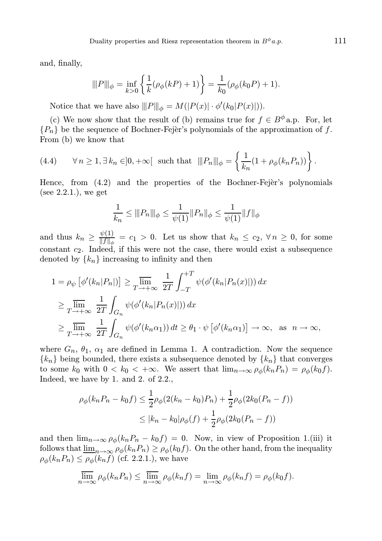and, finally,

$$
\|P\|_{\phi} = \inf_{k>0} \left\{ \frac{1}{k} (\rho_{\phi}(kP) + 1) \right\} = \frac{1}{k_0} (\rho_{\phi}(k_0P) + 1).
$$

Notice that we have also  $|||P|||_{\phi} = M(|P(x)| \cdot \phi'(k_0|P(x)|)).$ 

(c) We now show that the result of (b) remains true for  $f \in B^{\phi}$  a.p. For, let  ${P_n}$  be the sequence of Bochner-Fejer's polynomials of the approximation of f. From (b) we know that

(4.4) 
$$
\forall n \geq 1, \exists k_n \in ]0, +\infty[ \text{ such that } |||P_n|||_{\phi} = \left\{ \frac{1}{k_n} (1 + \rho_{\phi}(k_n P_n)) \right\}.
$$

Hence, from  $(4.2)$  and the properties of the Bochner-Fejer's polynomials (see  $2.2.1$ .), we get

$$
\frac{1}{k_n} \le ||P_n||_{\phi} \le \frac{1}{\psi(1)} ||P_n||_{\phi} \le \frac{1}{\psi(1)} ||f||_{\phi}
$$

and thus  $k_n \geq \frac{\psi(1)}{\|f\|}$  $\frac{\psi(1)}{\|f\|_{\phi}} = c_1 > 0$ . Let us show that  $k_n \leq c_2$ ,  $\forall n \geq 0$ , for some constant  $c_2$ . Indeed, if this were not the case, there would exist a subsequence denoted by  $\{k_n\}$  increasing to infinity and then

$$
1 = \rho_{\psi} \left[ \phi'(k_n | P_n|) \right] \ge \lim_{T \to +\infty} \frac{1}{2T} \int_{-T}^{+T} \psi(\phi'(k_n | P_n(x)|)) dx
$$
  
\n
$$
\ge \lim_{T \to +\infty} \frac{1}{2T} \int_{G_n} \psi(\phi'(k_n | P_n(x)|)) dx
$$
  
\n
$$
\ge \lim_{T \to +\infty} \frac{1}{2T} \int_{G_n} \psi(\phi'(k_n \alpha_1)) dt \ge \theta_1 \cdot \psi \left[ \phi'(k_n \alpha_1) \right] \to \infty, \text{ as } n \to \infty,
$$

where  $G_n$ ,  $\theta_1$ ,  $\alpha_1$  are defined in Lemma 1. A contradiction. Now the sequence  ${k_n}$  being bounded, there exists a subsequence denoted by  ${k_n}$  that converges to some  $k_0$  with  $0 < k_0 < +\infty$ . We assert that  $\lim_{n\to\infty} \rho_{\phi}(k_n P_n) = \rho_{\phi}(k_0 f)$ . Indeed, we have by 1. and 2. of 2.2.,

$$
\rho_{\phi}(k_n P_n - k_0 f) \le \frac{1}{2} \rho_{\phi}(2(k_n - k_0) P_n) + \frac{1}{2} \rho_{\phi}(2k_0 (P_n - f))
$$
  
 
$$
\le |k_n - k_0| \rho_{\phi}(f) + \frac{1}{2} \rho_{\phi}(2k_0 (P_n - f))
$$

and then  $\lim_{n\to\infty} \rho_{\phi}(k_n P_n - k_0 f) = 0$ . Now, in view of Proposition 1.(iii) it follows that  $\underline{\lim}_{n\to\infty}\rho_{\phi}(k_nP_n)\geq\rho_{\phi}(k_0f)$ . On the other hand, from the inequality  $\rho_{\phi}(k_n P_n) \leq \rho_{\phi}(k_n f)$  (cf. 2.2.1.), we have

$$
\overline{\lim}_{n \to \infty} \rho_{\phi}(k_n P_n) \le \overline{\lim}_{n \to \infty} \rho_{\phi}(k_n f) = \lim_{n \to \infty} \rho_{\phi}(k_n f) = \rho_{\phi}(k_0 f).
$$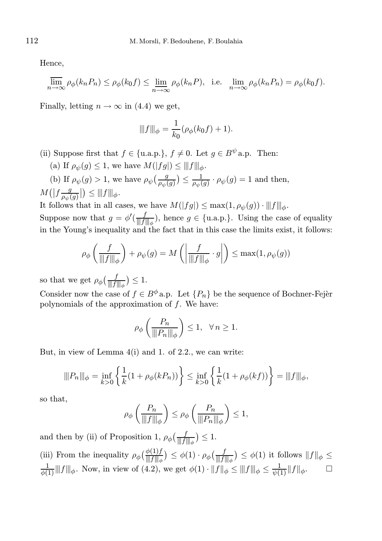Hence,

$$
\overline{\lim}_{n \to \infty} \rho_{\phi}(k_n P_n) \le \rho_{\phi}(k_0 f) \le \underline{\lim}_{n \to \infty} \rho_{\phi}(k_n P), \text{ i.e. } \lim_{n \to \infty} \rho_{\phi}(k_n P_n) = \rho_{\phi}(k_0 f).
$$

Finally, letting  $n \to \infty$  in (4.4) we get,

$$
\|f\|_{\phi} = \frac{1}{k_0} (\rho_{\phi}(k_0 f) + 1).
$$

- (ii) Suppose first that  $f \in \{u.a.p.\}$ ,  $f \neq 0$ . Let  $q \in B^{\psi}a.p$ . Then:
	- (a) If  $\rho_{\psi}(g) \leq 1$ , we have  $M(|fg|) \leq ||f||_{\phi}$ .

(b) If  $\rho_{\psi}(g) > 1$ , we have  $\rho_{\psi}\left(\frac{g}{\rho_{\psi}(g)}\right) \le \frac{1}{\rho_{\psi}(g)} \cdot \rho_{\psi}(g) = 1$  and then,  $M(|f\frac{g}{\rho_{\psi_0}}|)$  $\frac{g}{\rho_{\psi}(g)}\Big|\Big)\leq |||f|||_{\phi}.$ 

It follows that in all cases, we have  $M(|fg|) \leq \max(1, \rho_{\psi}(g)) \cdot |||f||_{\phi}$ .

Suppose now that  $g = \phi'(\frac{f}{\ln f})$  $\frac{f}{\|f\|_{\phi}}$ , hence  $g \in \{\text{u.a.p.}\}\$ . Using the case of equality in the Young's inequality and the fact that in this case the limits exist, it follows:

$$
\rho_{\phi}\left(\frac{f}{\|f\|_{\phi}}\right) + \rho_{\psi}(g) = M\left(\left|\frac{f}{\|f\|_{\phi}} \cdot g\right|\right) \le \max(1, \rho_{\psi}(g))
$$

so that we get  $\rho_{\phi}(\frac{f}{\|f\|_{\phi}}) \leq 1$ .

Consider now the case of  $f \in B^{\phi}$  a.p. Let  $\{P_n\}$  be the sequence of Bochner-Fejèr polynomials of the approximation of f. We have:

$$
\rho_{\phi}\left(\frac{P_n}{\|P_n\|_{\phi}}\right) \le 1, \ \ \forall n \ge 1.
$$

But, in view of Lemma 4(i) and 1. of 2.2., we can write:

$$
\|P_n\|_{\phi} = \inf_{k>0} \left\{ \frac{1}{k} (1 + \rho_{\phi}(kP_n)) \right\} \le \inf_{k>0} \left\{ \frac{1}{k} (1 + \rho_{\phi}(kf)) \right\} = \|f\|_{\phi},
$$

so that,

$$
\rho_{\phi}\left(\frac{P_n}{\|f\|_{\phi}}\right) \leq \rho_{\phi}\left(\frac{P_n}{\|P_n\|_{\phi}}\right) \leq 1,
$$

and then by (ii) of Proposition 1,  $\rho_{\phi}(\frac{f}{\|\cdot\|})$  $\frac{f}{\|f\|_\phi}\big)\leq 1.$ 

(iii) From the inequality  $\rho_{\phi}(\frac{\phi(1)f}{\|f\|_{\phi}}) \leq \phi(1) \cdot \rho_{\phi}(\frac{f}{\|f\|_{\phi}}) \leq \phi(1)$  it follows  $\|f\|_{\phi} \leq$  $\frac{1}{\phi(1)}$  |||f||| $\phi$ . Now, in view of (4.2), we get  $\phi(1) \cdot ||f||_{\phi} \le ||f||_{\phi} \le \frac{1}{\psi(1)} ||f||_{\phi}$ .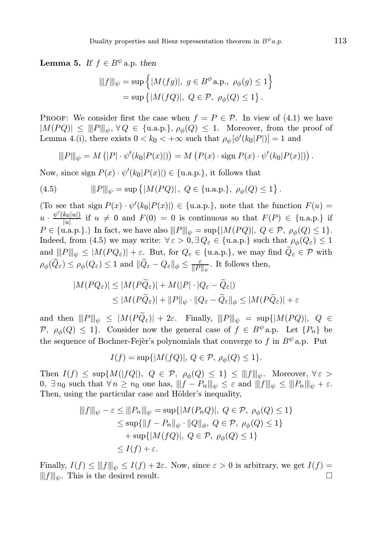**Lemma 5.** If  $f \in B^{\psi}$  a.p. then

$$
\begin{aligned} \|\|f\|_{\psi} &= \sup \left\{ |M(fg)|, \ g \in B^{\phi} \text{a.p., } \rho_{\phi}(g) \le 1 \right\} \\ &= \sup \left\{ |M(fQ)|, \ Q \in \mathcal{P}, \ \rho_{\phi}(Q) \le 1 \right\}. \end{aligned}
$$

PROOF: We consider first the case when  $f = P \in \mathcal{P}$ . In view of (4.1) we have  $|M(PQ)| \le ||P||_{\psi}, \forall Q \in \{\text{u.a.p.}\}, \rho_{\phi}(Q) \le 1.$  Moreover, from the proof of Lemma 4.(i), there exists  $0 < k_0 < +\infty$  such that  $\rho_{\psi}[\phi'(k_0|P]) = 1$  and

$$
||P|||_{\psi} = M\left(|P| \cdot \psi'(k_0|P(x)|)\right) = M\left(P(x) \cdot \text{sign } P(x) \cdot \psi'(k_0|P(x)|)\right).
$$

Now, since sign  $P(x) \cdot \psi'(k_0|P(x)|) \in \{\text{u.a.p.}\}\)$ , it follows that

(4.5) 
$$
\|P\|_{\psi} = \sup \{|M(PQ)|, Q \in \{\text{u.a.p.}\}, \rho_{\phi}(Q) \le 1\}.
$$

(To see that sign  $P(x) \cdot \psi'(k_0|P(x)|) \in \{\text{u.a.p.}\}\)$ , note that the function  $F(u) =$  $u \cdot \frac{\psi'(k_0|u|)}{|u|}$  $\frac{K_0[u]}{[u]}$  if  $u \neq 0$  and  $F(0) = 0$  is continuous so that  $F(P) \in \{u.\text{a.p.}\}\$ if  $P \in \{\text{u.a.p.}\}\.$  In fact, we have also  $||P||_{\psi} = \sup\{|M(PQ)|, Q \in \mathcal{P}, \rho_{\phi}(Q) \leq 1\}.$ Indeed, from (4.5) we may write:  $\forall \varepsilon > 0, \exists Q_{\varepsilon} \in \{\text{u.a.p.}\}\$  such that  $\rho_{\phi}(Q_{\varepsilon}) \leq 1$ and  $||P||_{\psi} \leq |M(PQ_{\varepsilon})| + \varepsilon$ . But, for  $Q_{\varepsilon} \in \{\text{u.a.p.}\}\$ , we may find  $\widetilde{Q}_{\varepsilon} \in \mathcal{P}$  with  $\rho_\phi(\widetilde{Q}_\varepsilon) \leq \rho_\phi(Q_\varepsilon) \leq 1 \text{ and } \|\widetilde{Q}_\varepsilon - Q_\varepsilon\|_\phi \leq \frac{\varepsilon}{\|P\|}$  $\frac{\varepsilon}{\|P\|_{\psi}}$ . It follows then,

$$
|M(PQ_{\varepsilon})| \le |M(P\widetilde{Q}_{\varepsilon})| + M(|P| \cdot |Q_{\varepsilon} - \widetilde{Q}_{\varepsilon}|)
$$
  

$$
\le |M(P\widetilde{Q}_{\varepsilon})| + ||P||_{\psi} \cdot ||Q_{\varepsilon} - \widetilde{Q}_{\varepsilon}||_{\phi} \le |M(P\widetilde{Q}_{\varepsilon})| + \varepsilon
$$

and then  $||P||_{\psi} \leq |M(P\widetilde{Q}_{\varepsilon})| + 2\varepsilon$ . Finally,  $||P||_{\psi} = \sup\{|M(PQ)|, Q \in$ P,  $\rho_{\phi}(Q) \leq 1$ . Consider now the general case of  $f \in B^{\psi}$  a.p. Let  $\{P_n\}$  be the sequence of Bochner-Fejèr's polynomials that converge to  $f$  in  $B^{\psi}$  a.p. Put

$$
I(f) = \sup\{|M(fQ)|, Q \in \mathcal{P}, \rho_{\phi}(Q) \le 1\}.
$$

Then  $I(f) \leq \sup \{ M(|fQ|), Q \in \mathcal{P}, \rho_{\phi}(Q) \leq 1 \} \leq ||f||_{\psi}$ . Moreover,  $\forall \varepsilon >$ 0,  $\exists n_0$  such that  $\forall n \geq n_0$  one has,  $||f - P_n||_{\psi} \leq \varepsilon$  and  $||f||_{\psi} \leq ||P_n||_{\psi} + \varepsilon$ . Then, using the particular case and Hölder's inequality,

$$
|||f|||_{\psi} - \varepsilon \le |||P_n|||_{\psi} = \sup\{|M(P_nQ)|, Q \in \mathcal{P}, \rho_{\phi}(Q) \le 1\}
$$
  
\n
$$
\le \sup\{|f - P_n||_{\psi} \cdot ||Q||_{\phi}, Q \in \mathcal{P}, \rho_{\phi}(Q) \le 1\}
$$
  
\n
$$
+ \sup\{|M(fQ)|, Q \in \mathcal{P}, \rho_{\phi}(Q) \le 1\}
$$
  
\n
$$
\le I(f) + \varepsilon.
$$

Finally,  $I(f) \leq ||f||_{\psi} \leq I(f) + 2\varepsilon$ . Now, since  $\varepsilon > 0$  is arbitrary, we get  $I(f) =$  $|||f|||_{\psi}$ . This is the desired result.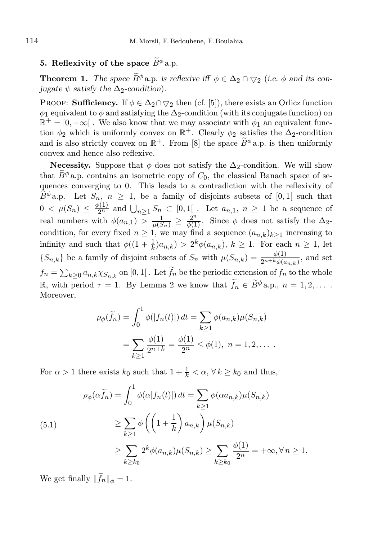## 5. Reflexivity of the space  $\widetilde{B}^{\phi}$  a.p.

**Theorem 1.** The space  $\widetilde{B}^{\phi}$  a.p. is reflexive iff  $\phi \in \Delta_2 \cap \bigtriangledown_2$  (i.e.  $\phi$  and its conjugate  $\psi$  satisfy the  $\Delta_2$ -condition).

PROOF: Sufficiency. If  $\phi \in \Delta_2 \cap \bigtriangledown_2$  then (cf. [5]), there exists an Orlicz function  $\phi_1$  equivalent to  $\phi$  and satisfying the  $\Delta_2$ -condition (with its conjugate function) on  $\mathbb{R}^+=[0,+\infty[$  . We also know that we may associate with  $\phi_1$  an equivalent function  $\phi_2$  which is uniformly convex on  $\mathbb{R}^+$ . Clearly  $\phi_2$  satisfies the  $\Delta_2$ -condition and is also strictly convex on  $\mathbb{R}^+$ . From [8] the space  $\widetilde{B}^{\phi}$  a.p. is then uniformly convex and hence also reflexive.

**Necessity.** Suppose that  $\phi$  does not satisfy the  $\Delta_2$ -condition. We will show that  $\widetilde{B}^{\phi}$  a.p. contains an isometric copy of  $C_0$ , the classical Banach space of sequences converging to 0. This leads to a contradiction with the reflexivity of  $\widetilde{B}^{\phi}$  a.p. Let  $S_n$ ,  $n \geq 1$ , be a family of disjoints subsets of [0,1] such that  $0 < \mu(S_n) \leq \frac{\phi(1)}{2^n}$  and  $\bigcup_{n \geq 1} S_n \subset [0,1]$ . Let  $a_{n,1}, n \geq 1$  be a sequence of real numbers with  $\phi(a_{n,1}) \geq \frac{1}{\mu(S_n)} \geq \frac{2^n}{\phi(1)}$ . Since  $\phi$  does not satisfy the  $\Delta_2$ condition, for every fixed  $n \geq 1$ , we may find a sequence  $(a_{n,k})_{k>1}$  increasing to infinity and such that  $\phi((1+\frac{1}{k})a_{n,k}) > 2^k \phi(a_{n,k}), k \ge 1$ . For each  $n \ge 1$ , let  $\{S_{n,k}\}\$  be a family of disjoint subsets of  $S_n$  with  $\mu(S_{n,k}) = \frac{\phi(1)}{2^{n+k}\phi(a_{n,k})}$ , and set  $f_n = \sum_{k\geq 0} a_{n,k} \chi_{S_{n,k}}$  on  $[0,1[$  . Let  $\widetilde{f}_n$  be the periodic extension of  $f_n$  to the whole R, with period  $\tau = 1$ . By Lemma 2 we know that  $\widetilde{f}_n \in \widetilde{B}^{\phi}$  a.p.,  $n = 1, 2, \ldots$ . Moreover,

$$
\rho_{\phi}(\widetilde{f}_n) = \int_0^1 \phi(|f_n(t)|) dt = \sum_{k \ge 1} \phi(a_{n,k}) \mu(S_{n,k})
$$
  
= 
$$
\sum_{k \ge 1} \frac{\phi(1)}{2^{n+k}} = \frac{\phi(1)}{2^n} \le \phi(1), \ n = 1, 2, ....
$$

For  $\alpha > 1$  there exists  $k_0$  such that  $1 + \frac{1}{k} < \alpha, \forall k \geq k_0$  and thus,

$$
\rho_{\phi}(\alpha \tilde{f}_n) = \int_0^1 \phi(\alpha |f_n(t)|) dt = \sum_{k \ge 1} \phi(\alpha a_{n,k}) \mu(S_{n,k})
$$
  
\n
$$
\ge \sum_{k \ge 1} \phi\left(\left(1 + \frac{1}{k}\right) a_{n,k}\right) \mu(S_{n,k})
$$
  
\n
$$
\ge \sum_{k \ge k_0} 2^k \phi(a_{n,k}) \mu(S_{n,k}) \ge \sum_{k \ge k_0} \frac{\phi(1)}{2^n} = +\infty, \forall n \ge 1.
$$

We get finally  $\|\widetilde{f}_n\|_{\phi} = 1$ .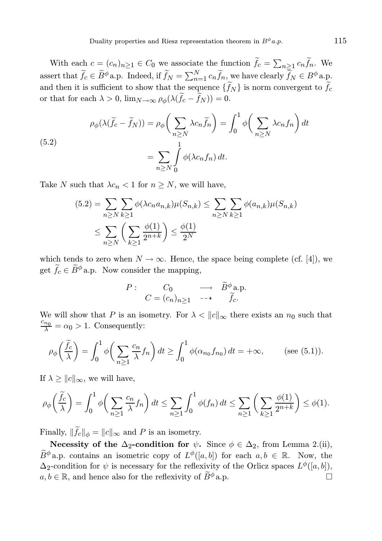With each  $c = (c_n)_{n \geq 1} \in C_0$  we associate the function  $\tilde{f}_c = \sum_{n \geq 1} c_n \tilde{f}_n$ . We assert that  $\widetilde{f}_c \in \widetilde{B}^{\phi}$  a.p. Indeed, if  $\widetilde{f}_N = \sum_{n=1}^N c_n \widetilde{f}_n$ , we have clearly  $\widetilde{f}_N \in B^{\phi}$  a.p. and then it is sufficient to show that the sequence  $\{\widetilde{f}_N\}$  is norm convergent to  $\widetilde{f}_c$ or that for each  $\lambda > 0$ ,  $\lim_{N \to \infty} \rho_{\phi}(\lambda(\widetilde{f}_{c} - \widetilde{f}_{N})) = 0$ .

(5.2)  
\n
$$
\rho_{\phi}(\lambda(\tilde{f}_c - \tilde{f}_N)) = \rho_{\phi}\left(\sum_{n \ge N} \lambda c_n \tilde{f}_n\right) = \int_0^1 \phi\left(\sum_{n \ge N} \lambda c_n f_n\right) dt
$$
\n
$$
= \sum_{n \ge N} \int_0^1 \phi(\lambda c_n f_n) dt.
$$

Take N such that  $\lambda c_n < 1$  for  $n \geq N$ , we will have,

$$
(5.2) = \sum_{n \ge N} \sum_{k \ge 1} \phi(\lambda c_n a_{n,k}) \mu(S_{n,k}) \le \sum_{n \ge N} \sum_{k \ge 1} \phi(a_{n,k}) \mu(S_{n,k})
$$
  

$$
\le \sum_{n \ge N} \left(\sum_{k \ge 1} \frac{\phi(1)}{2^{n+k}}\right) \le \frac{\phi(1)}{2^N}
$$

which tends to zero when  $N \to \infty$ . Hence, the space being complete (cf. [4]), we get  $\widetilde{f}_c \in \widetilde{B}^{\phi}$  a.p. Now consider the mapping,

$$
P: \quad C_0 \quad \longrightarrow \quad \widetilde{B}^{\phi} \text{a.p.}
$$

$$
C = (c_n)_{n \ge 1} \quad \longrightarrow \quad \widetilde{f}_c.
$$

We will show that P is an isometry. For  $\lambda < ||c||_{\infty}$  there exists an  $n_0$  such that  $\frac{c_{n_0}}{\lambda} = \alpha_0 > 1$ . Consequently:

$$
\rho_{\phi}\left(\frac{\tilde{f}_c}{\lambda}\right) = \int_0^1 \phi\left(\sum_{n\geq 1} \frac{c_n}{\lambda} f_n\right) dt \geq \int_0^1 \phi(\alpha_{n_0} f_{n_0}) dt = +\infty, \quad (\text{see (5.1)}).
$$

If  $\lambda \geq ||c||_{\infty}$ , we will have,

$$
\rho_{\phi}\left(\frac{\widetilde{f}_{c}}{\lambda}\right) = \int_{0}^{1} \phi\left(\sum_{n\geq 1} \frac{c_{n}}{\lambda} f_{n}\right) dt \leq \sum_{n\geq 1} \int_{0}^{1} \phi(f_{n}) dt \leq \sum_{n\geq 1} \left(\sum_{k\geq 1} \frac{\phi(1)}{2^{n+k}}\right) \leq \phi(1).
$$

Finally,  $\|\tilde{f}_c\|_{\phi} = \|c\|_{\infty}$  and P is an isometry.

Necessity of the  $\Delta_2$ -condition for  $\psi$ . Since  $\phi \in \Delta_2$ , from Lemma 2.(ii),  $\widetilde{B}^{\phi}$  a.p. contains an isometric copy of  $L^{\phi}([a, b])$  for each  $a, b \in \mathbb{R}$ . Now, the  $\Delta_2$ -condition for  $\psi$  is necessary for the reflexivity of the Orlicz spaces  $L^{\phi}([a, b]),$  $a, b \in \mathbb{R}$ , and hence also for the reflexivity of  $\widetilde{B}^{\phi}$  a.p.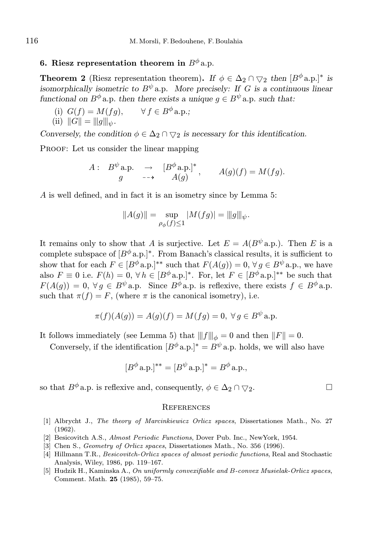# 6. Riesz representation theorem in  $B^{\phi}$  a.p.

**Theorem 2** (Riesz representation theorem). If  $\phi \in \Delta_2 \cap \bigtriangledown_2$  then  $[B^{\phi}a.p.]^*$  is isomorphically isometric to  $B^{\psi}$  a.p. More precisely: If G is a continuous linear functional on  $B^{\phi}$  a.p. then there exists a unique  $q \in B^{\psi}$  a.p. such that:

(i)  $G(f) = M(fg), \quad \forall f \in B^{\phi}$  a.p.; (ii)  $||G|| = |||g||_{\psi}$ .

Conversely, the condition  $\phi \in \Delta_2 \cap \bigtriangledown_2$  is necessary for this identification.

PROOF: Let us consider the linear mapping

$$
A: B^{\psi} \text{a.p.} \rightarrow [B^{\phi} \text{a.p.}]^*, \quad A(g)(f) = M(fg).
$$
  

$$
g \longrightarrow A(g)
$$

A is well defined, and in fact it is an isometry since by Lemma 5:

$$
||A(g)|| = \sup_{\rho_{\phi}(f) \le 1} |M(fg)| = ||g||_{\psi}.
$$

It remains only to show that A is surjective. Let  $E = A(B^{\psi} \text{a.p.})$ . Then E is a complete subspace of  $[B^{\phi}a.p.]^*$ . From Banach's classical results, it is sufficient to show that for each  $F \in [B^{\phi} \text{a.p.}]^{**}$  such that  $F(A(q)) = 0, \forall q \in B^{\psi} \text{a.p.,}$  we have also  $F \equiv 0$  i.e.  $F(h) = 0$ ,  $\forall h \in [B^{\phi}a \cdot p]^{*}$ . For, let  $F \in [B^{\phi}a \cdot p]^{**}$  be such that  $F(A(g)) = 0, \forall g \in B^{\psi}$  a.p. Since  $B^{\phi}$  a.p. is reflexive, there exists  $f \in B^{\phi}$  a.p. such that  $\pi(f) = F$ , (where  $\pi$  is the canonical isometry), i.e.

$$
\pi(f)(A(g)) = A(g)(f) = M(fg) = 0, \ \forall g \in B^{\psi} \text{a.p.}
$$

It follows immediately (see Lemma 5) that  $|||f||_{\phi} = 0$  and then  $||F|| = 0$ .

Conversely, if the identification  $[B^{\phi} a.p.]<sup>*</sup> = B^{\psi} a.p.$  holds, we will also have

$$
[B^{\phi} \mathbf{a}.\mathbf{p}.]^{**} = [B^{\psi} \mathbf{a}.\mathbf{p}.]^{*} = B^{\phi} \mathbf{a}.\mathbf{p}.,
$$

so that  $B^{\phi}$  a.p. is reflexive and, consequently,  $\phi \in \Delta_2 \cap \bigtriangledown_2$ .

#### **REFERENCES**

- [1] Albrycht J., The theory of Marcinkiewicz Orlicz spaces, Dissertationes Math., No. 27 (1962).
- [2] Besicovitch A.S., Almost Periodic Functions, Dover Pub. Inc., NewYork, 1954.
- [3] Chen S., Geometry of Orlicz spaces, Dissertationes Math., No. 356 (1996).
- [4] Hillmann T.R., *Besicovitch-Orlicz spaces of almost periodic functions*, Real and Stochastic Analysis, Wiley, 1986, pp. 119–167.
- [5] Hudzik H., Kaminska A., On uniformly convexifiable and B-convex Musielak-Orlicz spaces, Comment. Math. 25 (1985), 59–75.